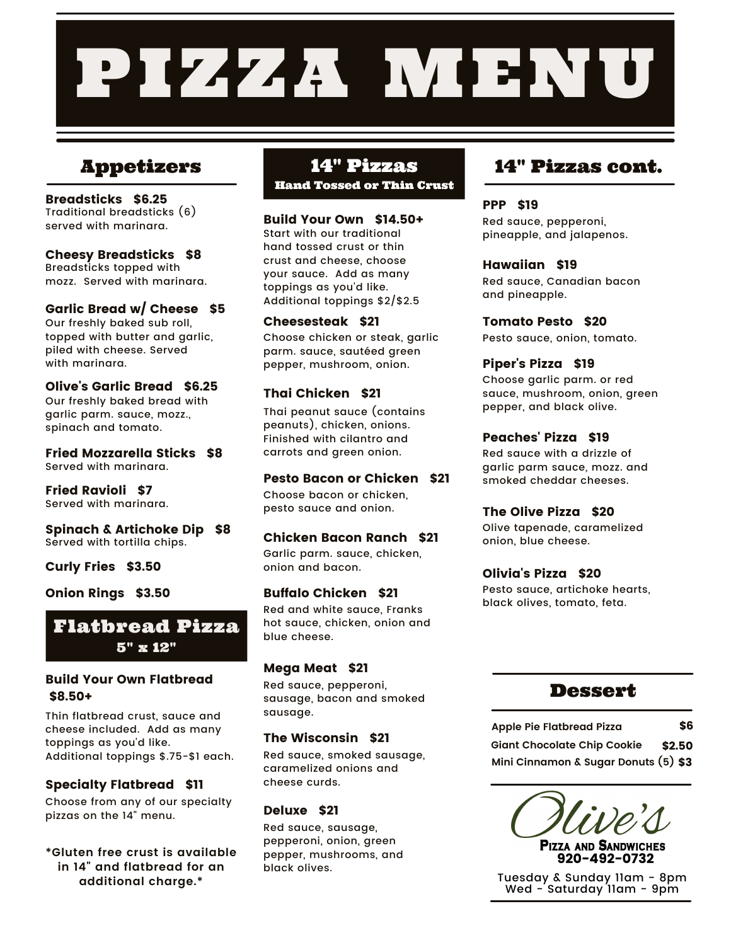# PIZZA MBNU

## Appetizers 14" Pizzas

Breadsticks \$6.25 Traditional breadsticks (6) served with marinara.

Cheesy Breadsticks \$8 Breadsticks topped with mozz. Served with marinara.

Garlic Bread w/ Cheese \$5 Our freshly baked sub roll, topped with butter and garlic, piled with cheese. Served with marinara.

Olive's Garlic Bread \$6.25 Our freshly baked bread with garlic parm. sauce, mozz., spinach and tomato.

Fried Mozzarella Sticks \$8 Served with marinara.

Fried Ravioli \$7 Served with marinara.

Spinach & Artichoke Dip \$8 Served with tortilla chips.

Curly Fries \$3.50

Onion Rings \$3.50



## Build Your Own Flatbread \$8.50+

Thin flatbread crust, sauce and cheese included. Add as many toppings as you'd like. Additional toppings \$.75-\$1 each.

## Specialty Flatbread \$11

Choose from any of our specialty pizzas on the 14" menu.

**\*Gluten free crust is available in 14" and flatbread for an additional charge.\***

Hand Tossed or Thin Crust

## Build Your Own \$14.50+

Start with our traditional hand tossed crust or thin crust and cheese, choose your sauce. Add as many toppings as you'd like. Additional toppings \$2/\$2.5

## Cheesesteak \$21

Choose chicken or steak, garlic parm. sauce, sautéed green pepper, mushroom, onion.

## Thai Chicken \$21

Thai peanut sauce (contains peanuts), chicken, onions. Finished with cilantro and carrots and green onion.

## Pesto Bacon or Chicken \$21

Choose bacon or chicken, pesto sauce and onion.

## Chicken Bacon Ranch \$21

Garlic parm. sauce, chicken, onion and bacon.

## Buffalo Chicken \$21

Red and white sauce, Franks hot sauce, chicken, onion and blue cheese.

## Mega Meat \$21

Red sauce, pepperoni, sausage, bacon and smoked sausage.

## The Wisconsin \$21

Red sauce, smoked sausage, caramelized onions and cheese curds.

## Deluxe \$21

Red sauce, sausage, pepperoni, onion, green pepper, mushrooms, and black olives.

## 14" Pizzas cont.

## PPP \$19

Red sauce, pepperoni, pineapple, and jalapenos.

## Hawaiian \$19

Red sauce, Canadian bacon and pineapple.

Tomato Pesto \$20 Pesto sauce, onion, tomato.

## Piper's Pizza \$19

Choose garlic parm. or red sauce, mushroom, onion, green pepper, and black olive.

## Peaches' Pizza \$19

Red sauce with a drizzle of garlic parm sauce, mozz. and smoked cheddar cheeses.

## The Olive Pizza \$20

Olive tapenade, caramelized onion, blue cheese.

## Olivia's Pizza \$20

Pesto sauce, artichoke hearts, black olives, tomato, feta.

## **Dessert**

**Apple Pie Flatbread Pizza** \$6

**Giant Chocolate Chip Cookie** \$2.50 **Mini Cinnamon & Sugar Donuts (5)** \$3



**PIZZA AND SANDWICHES** 920-492-0732

Tuesday & Sunday 11am - 8pm Wed - Saturday 11am - 9pm